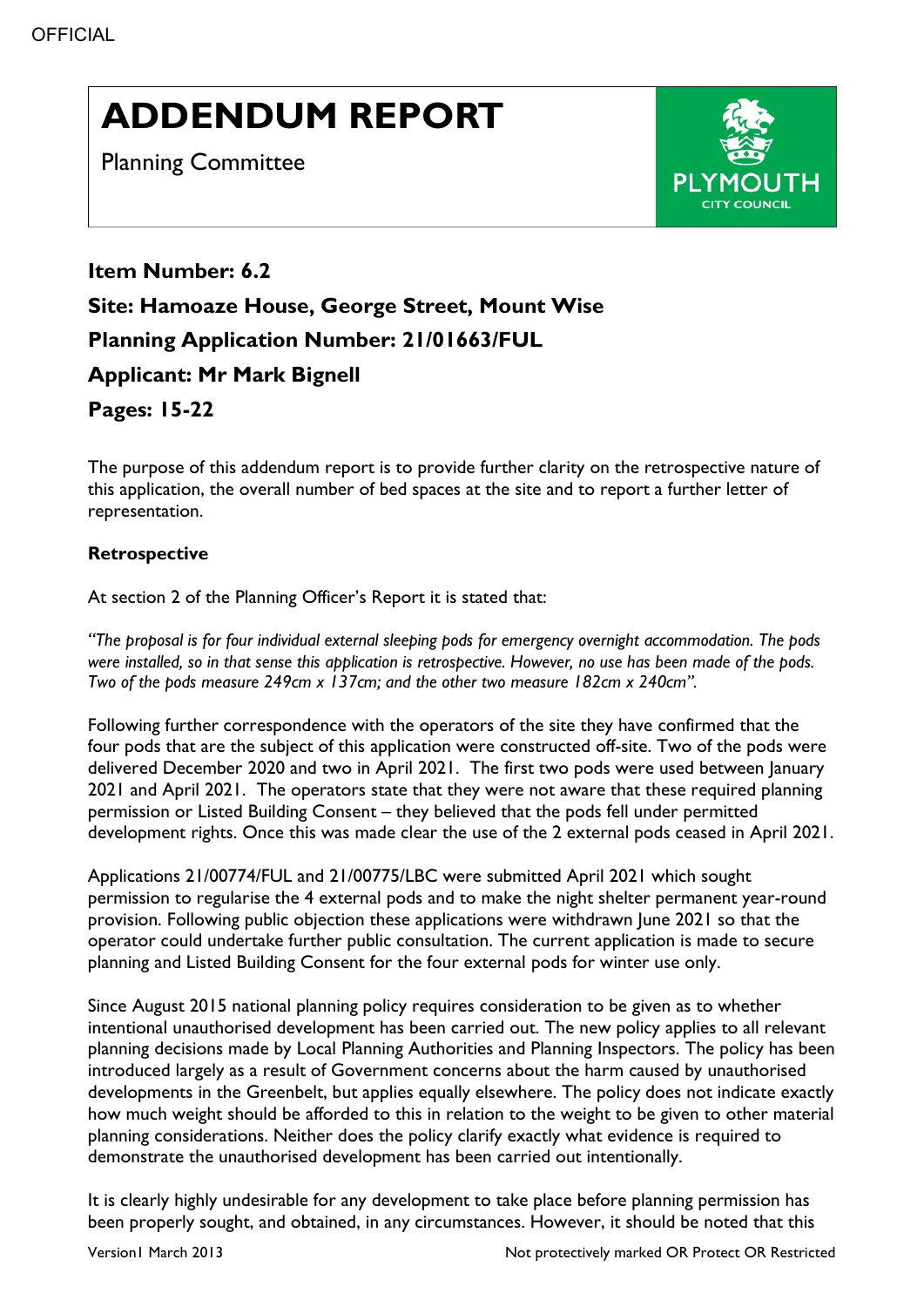# ADDENDUM REPORT

Planning Committee



Item Number: 6.2 Site: Hamoaze House, George Street, Mount Wise Planning Application Number: 21/01663/FUL Applicant: Mr Mark Bignell Pages: 15-22

The purpose of this addendum report is to provide further clarity on the retrospective nature of this application, the overall number of bed spaces at the site and to report a further letter of representation.

# Retrospective

At section 2 of the Planning Officer's Report it is stated that:

"The proposal is for four individual external sleeping pods for emergency overnight accommodation. The pods were installed, so in that sense this application is retrospective. However, no use has been made of the pods. Two of the pods measure 249cm x 137cm; and the other two measure 182cm x 240cm".

Following further correspondence with the operators of the site they have confirmed that the four pods that are the subject of this application were constructed off-site. Two of the pods were delivered December 2020 and two in April 2021. The first two pods were used between January 2021 and April 2021. The operators state that they were not aware that these required planning permission or Listed Building Consent – they believed that the pods fell under permitted development rights. Once this was made clear the use of the 2 external pods ceased in April 2021.

Applications 21/00774/FUL and 21/00775/LBC were submitted April 2021 which sought permission to regularise the 4 external pods and to make the night shelter permanent year-round provision. Following public objection these applications were withdrawn June 2021 so that the operator could undertake further public consultation. The current application is made to secure planning and Listed Building Consent for the four external pods for winter use only.

Since August 2015 national planning policy requires consideration to be given as to whether intentional unauthorised development has been carried out. The new policy applies to all relevant planning decisions made by Local Planning Authorities and Planning Inspectors. The policy has been introduced largely as a result of Government concerns about the harm caused by unauthorised developments in the Greenbelt, but applies equally elsewhere. The policy does not indicate exactly how much weight should be afforded to this in relation to the weight to be given to other material planning considerations. Neither does the policy clarify exactly what evidence is required to demonstrate the unauthorised development has been carried out intentionally.

It is clearly highly undesirable for any development to take place before planning permission has been properly sought, and obtained, in any circumstances. However, it should be noted that this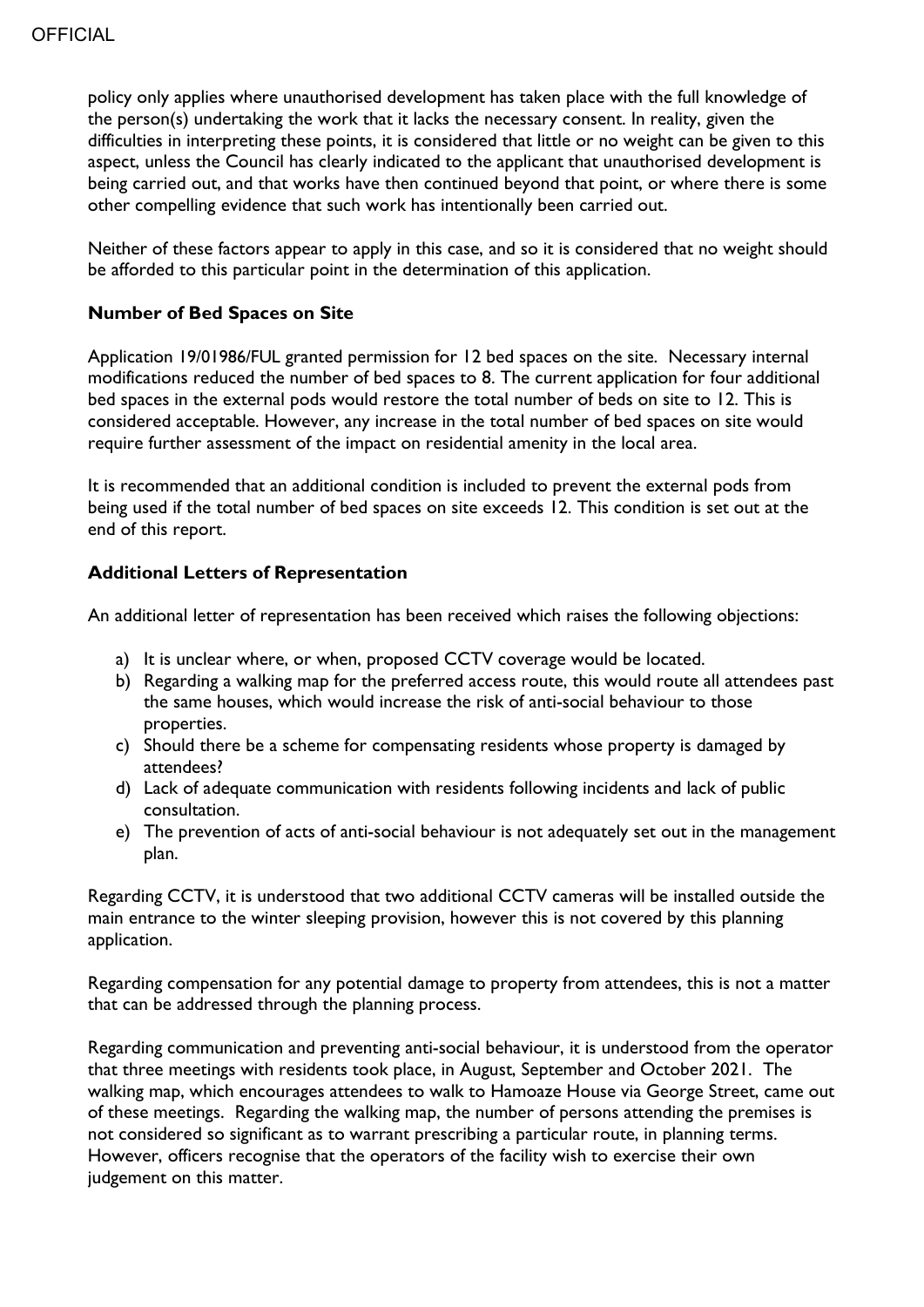policy only applies where unauthorised development has taken place with the full knowledge of the person(s) undertaking the work that it lacks the necessary consent. In reality, given the difficulties in interpreting these points, it is considered that little or no weight can be given to this aspect, unless the Council has clearly indicated to the applicant that unauthorised development is being carried out, and that works have then continued beyond that point, or where there is some other compelling evidence that such work has intentionally been carried out.

Neither of these factors appear to apply in this case, and so it is considered that no weight should be afforded to this particular point in the determination of this application.

### Number of Bed Spaces on Site

Application 19/01986/FUL granted permission for 12 bed spaces on the site. Necessary internal modifications reduced the number of bed spaces to 8. The current application for four additional bed spaces in the external pods would restore the total number of beds on site to 12. This is considered acceptable. However, any increase in the total number of bed spaces on site would require further assessment of the impact on residential amenity in the local area.

It is recommended that an additional condition is included to prevent the external pods from being used if the total number of bed spaces on site exceeds 12. This condition is set out at the end of this report.

# Additional Letters of Representation

An additional letter of representation has been received which raises the following objections:

- a) It is unclear where, or when, proposed CCTV coverage would be located.
- b) Regarding a walking map for the preferred access route, this would route all attendees past the same houses, which would increase the risk of anti-social behaviour to those properties.
- c) Should there be a scheme for compensating residents whose property is damaged by attendees?
- d) Lack of adequate communication with residents following incidents and lack of public consultation.
- e) The prevention of acts of anti-social behaviour is not adequately set out in the management plan.

Regarding CCTV, it is understood that two additional CCTV cameras will be installed outside the main entrance to the winter sleeping provision, however this is not covered by this planning application.

Regarding compensation for any potential damage to property from attendees, this is not a matter that can be addressed through the planning process.

Regarding communication and preventing anti-social behaviour, it is understood from the operator that three meetings with residents took place, in August, September and October 2021. The walking map, which encourages attendees to walk to Hamoaze House via George Street, came out of these meetings. Regarding the walking map, the number of persons attending the premises is not considered so significant as to warrant prescribing a particular route, in planning terms. However, officers recognise that the operators of the facility wish to exercise their own judgement on this matter.